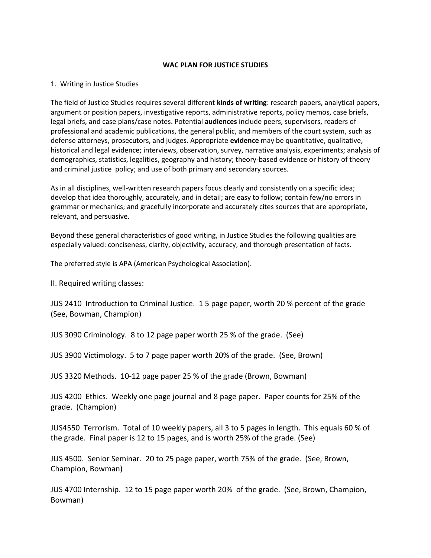## **WAC PLAN FOR JUSTICE STUDIES**

## 1. Writing in Justice Studies

The field of Justice Studies requires several different **kinds of writing**: research papers, analytical papers, argument or position papers, investigative reports, administrative reports, policy memos, case briefs, legal briefs, and case plans/case notes. Potential **audiences** include peers, supervisors, readers of professional and academic publications, the general public, and members of the court system, such as defense attorneys, prosecutors, and judges. Appropriate **evidence** may be quantitative, qualitative, historical and legal evidence; interviews, observation, survey, narrative analysis, experiments; analysis of demographics, statistics, legalities, geography and history; theory-based evidence or history of theory and criminal justice policy; and use of both primary and secondary sources.

As in all disciplines, well-written research papers focus clearly and consistently on a specific idea; develop that idea thoroughly, accurately, and in detail; are easy to follow; contain few/no errors in grammar or mechanics; and gracefully incorporate and accurately cites sources that are appropriate, relevant, and persuasive.

Beyond these general characteristics of good writing, in Justice Studies the following qualities are especially valued: conciseness, clarity, objectivity, accuracy, and thorough presentation of facts.

The preferred style is APA (American Psychological Association).

II. Required writing classes:

JUS 2410 Introduction to Criminal Justice. 1 5 page paper, worth 20 % percent of the grade (See, Bowman, Champion)

JUS 3090 Criminology. 8 to 12 page paper worth 25 % of the grade. (See)

JUS 3900 Victimology. 5 to 7 page paper worth 20% of the grade. (See, Brown)

JUS 3320 Methods. 10-12 page paper 25 % of the grade (Brown, Bowman)

JUS 4200 Ethics. Weekly one page journal and 8 page paper. Paper counts for 25% of the grade. (Champion)

JUS4550 Terrorism. Total of 10 weekly papers, all 3 to 5 pages in length. This equals 60 % of the grade. Final paper is 12 to 15 pages, and is worth 25% of the grade. (See)

JUS 4500. Senior Seminar. 20 to 25 page paper, worth 75% of the grade. (See, Brown, Champion, Bowman)

JUS 4700 Internship. 12 to 15 page paper worth 20% of the grade. (See, Brown, Champion, Bowman)